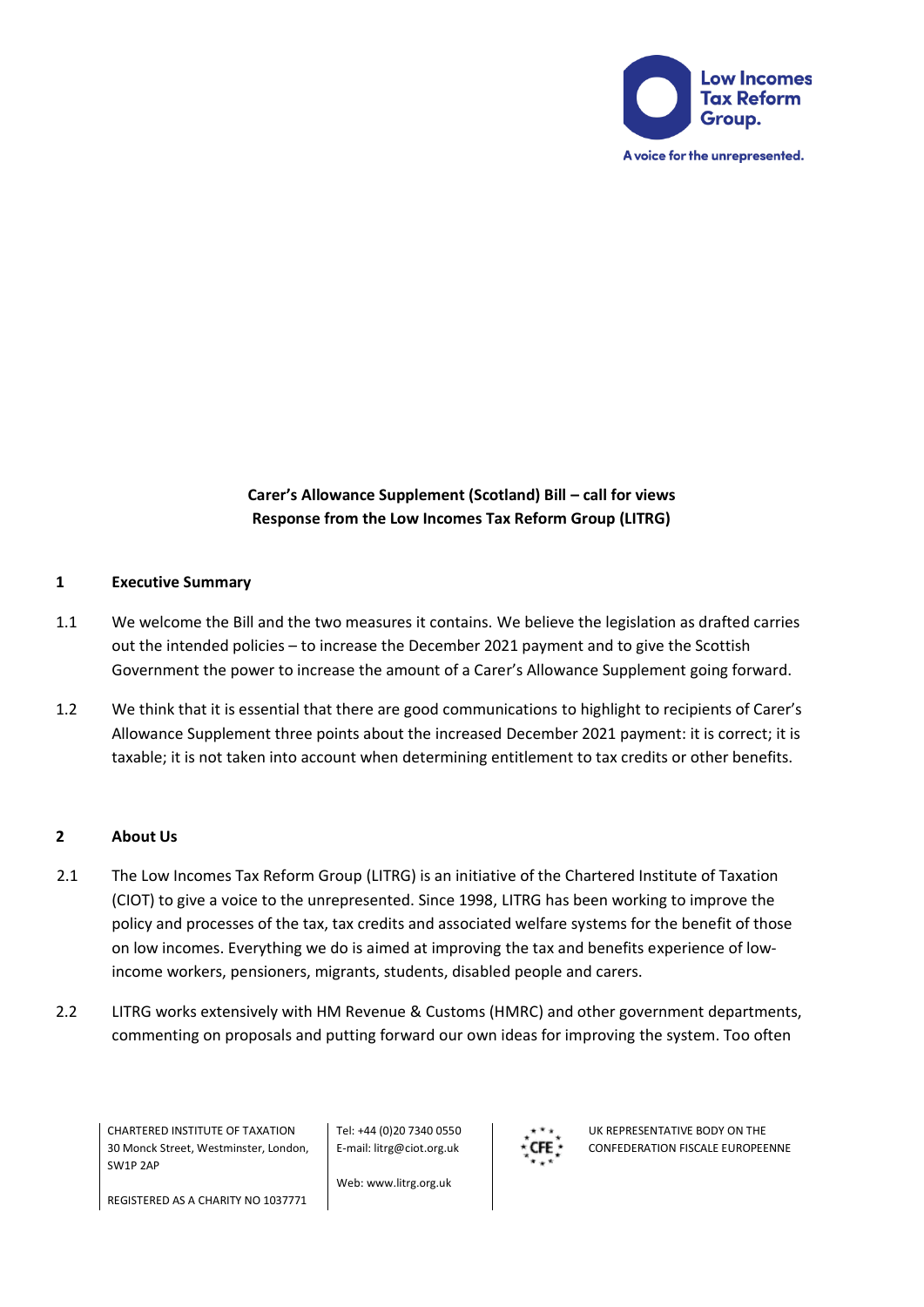

**Carer's Allowance Supplement (Scotland) Bill – call for views Response from the Low Incomes Tax Reform Group (LITRG)**

### **1 Executive Summary**

- 1.1 We welcome the Bill and the two measures it contains. We believe the legislation as drafted carries out the intended policies – to increase the December 2021 payment and to give the Scottish Government the power to increase the amount of a Carer's Allowance Supplement going forward.
- 1.2 We think that it is essential that there are good communications to highlight to recipients of Carer's Allowance Supplement three points about the increased December 2021 payment: it is correct; it is taxable; it is not taken into account when determining entitlement to tax credits or other benefits.

### **2 About Us**

- 2.1 The Low Incomes Tax Reform Group (LITRG) is an initiative of the Chartered Institute of Taxation (CIOT) to give a voice to the unrepresented. Since 1998, LITRG has been working to improve the policy and processes of the tax, tax credits and associated welfare systems for the benefit of those on low incomes. Everything we do is aimed at improving the tax and benefits experience of lowincome workers, pensioners, migrants, students, disabled people and carers.
- 2.2 LITRG works extensively with HM Revenue & Customs (HMRC) and other government departments, commenting on proposals and putting forward our own ideas for improving the system. Too often

CHARTERED INSTITUTE OF TAXATION 30 Monck Street, Westminster, London, SW1P 2AP

Tel: +44 (0)20 7340 0550 E-mail: litrg@ciot.org.uk

Web: www.litrg.org.uk



UK REPRESENTATIVE BODY ON THE CONFEDERATION FISCALE EUROPEENNE

REGISTERED AS A CHARITY NO 1037771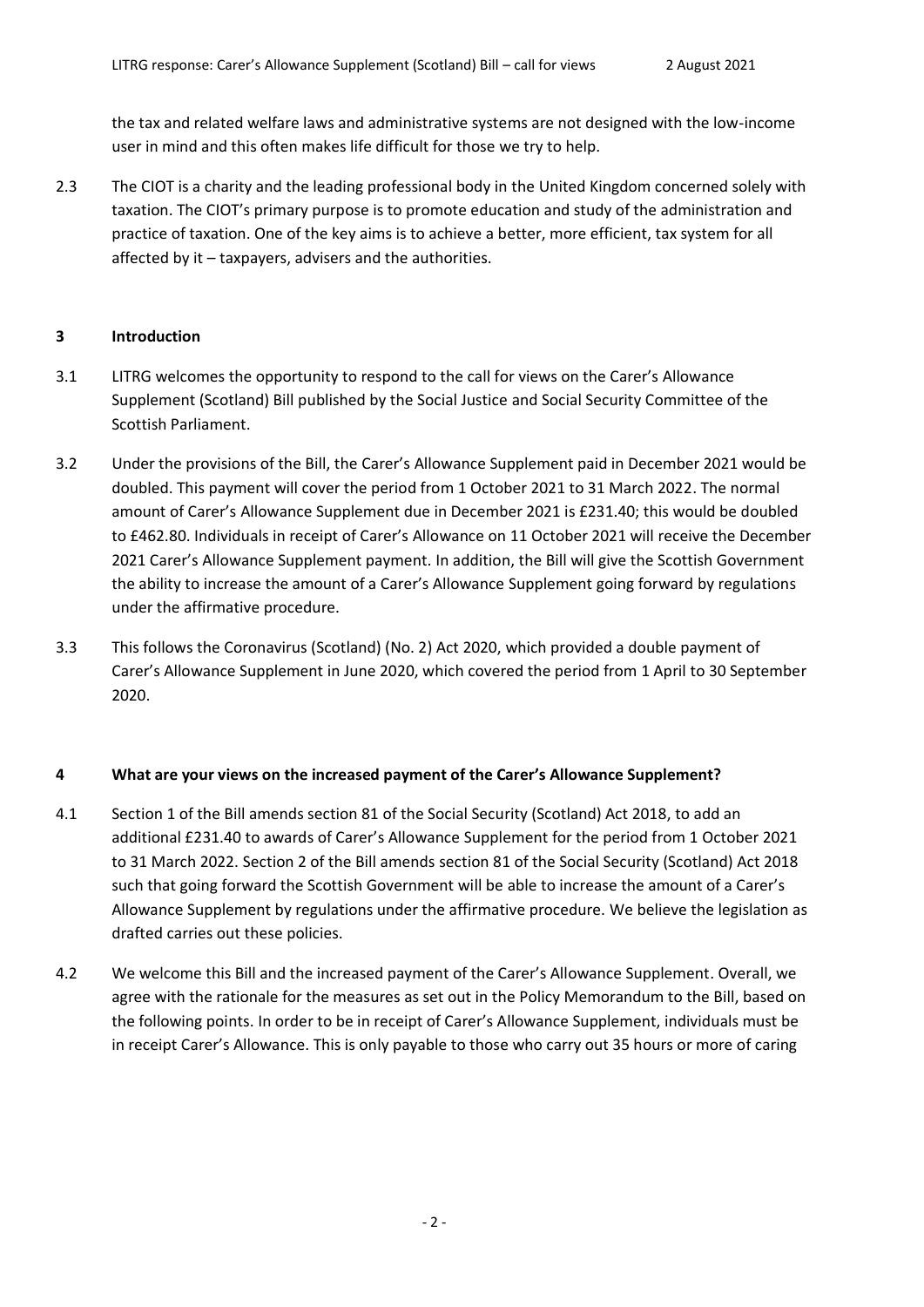the tax and related welfare laws and administrative systems are not designed with the low-income user in mind and this often makes life difficult for those we try to help.

2.3 The CIOT is a charity and the leading professional body in the United Kingdom concerned solely with taxation. The CIOT's primary purpose is to promote education and study of the administration and practice of taxation. One of the key aims is to achieve a better, more efficient, tax system for all affected by it – taxpayers, advisers and the authorities.

#### **3 Introduction**

- 3.1 LITRG welcomes the opportunity to respond to the call for views on the Carer's Allowance Supplement (Scotland) Bill published by the Social Justice and Social Security Committee of the Scottish Parliament.
- 3.2 Under the provisions of the Bill, the Carer's Allowance Supplement paid in December 2021 would be doubled. This payment will cover the period from 1 October 2021 to 31 March 2022. The normal amount of Carer's Allowance Supplement due in December 2021 is £231.40; this would be doubled to £462.80. Individuals in receipt of Carer's Allowance on 11 October 2021 will receive the December 2021 Carer's Allowance Supplement payment. In addition, the Bill will give the Scottish Government the ability to increase the amount of a Carer's Allowance Supplement going forward by regulations under the affirmative procedure.
- 3.3 This follows the Coronavirus (Scotland) (No. 2) Act 2020, which provided a double payment of Carer's Allowance Supplement in June 2020, which covered the period from 1 April to 30 September 2020.

### **4 What are your views on the increased payment of the Carer's Allowance Supplement?**

- 4.1 Section 1 of the Bill amends section 81 of the Social Security (Scotland) Act 2018, to add an additional £231.40 to awards of Carer's Allowance Supplement for the period from 1 October 2021 to 31 March 2022. Section 2 of the Bill amends section 81 of the Social Security (Scotland) Act 2018 such that going forward the Scottish Government will be able to increase the amount of a Carer's Allowance Supplement by regulations under the affirmative procedure. We believe the legislation as drafted carries out these policies.
- 4.2 We welcome this Bill and the increased payment of the Carer's Allowance Supplement. Overall, we agree with the rationale for the measures as set out in the Policy Memorandum to the Bill, based on the following points. In order to be in receipt of Carer's Allowance Supplement, individuals must be in receipt Carer's Allowance. This is only payable to those who carry out 35 hours or more of caring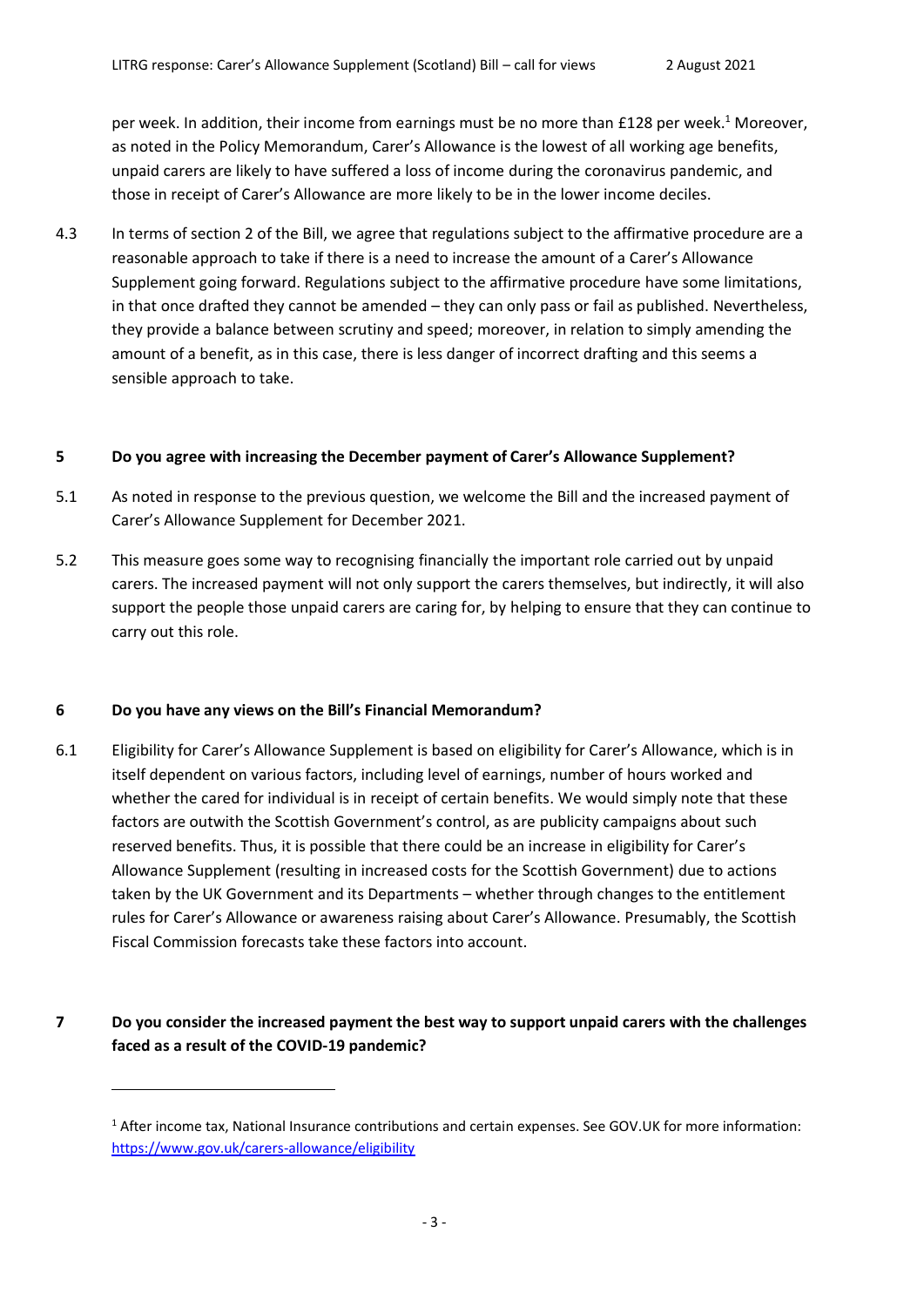per week. In addition, their income from earnings must be no more than £128 per week.<sup>1</sup> Moreover, as noted in the Policy Memorandum, Carer's Allowance is the lowest of all working age benefits, unpaid carers are likely to have suffered a loss of income during the coronavirus pandemic, and those in receipt of Carer's Allowance are more likely to be in the lower income deciles.

4.3 In terms of section 2 of the Bill, we agree that regulations subject to the affirmative procedure are a reasonable approach to take if there is a need to increase the amount of a Carer's Allowance Supplement going forward. Regulations subject to the affirmative procedure have some limitations, in that once drafted they cannot be amended – they can only pass or fail as published. Nevertheless, they provide a balance between scrutiny and speed; moreover, in relation to simply amending the amount of a benefit, as in this case, there is less danger of incorrect drafting and this seems a sensible approach to take.

### **5 Do you agree with increasing the December payment of Carer's Allowance Supplement?**

- 5.1 As noted in response to the previous question, we welcome the Bill and the increased payment of Carer's Allowance Supplement for December 2021.
- 5.2 This measure goes some way to recognising financially the important role carried out by unpaid carers. The increased payment will not only support the carers themselves, but indirectly, it will also support the people those unpaid carers are caring for, by helping to ensure that they can continue to carry out this role.

#### **6 Do you have any views on the Bill's Financial Memorandum?**

6.1 Eligibility for Carer's Allowance Supplement is based on eligibility for Carer's Allowance, which is in itself dependent on various factors, including level of earnings, number of hours worked and whether the cared for individual is in receipt of certain benefits. We would simply note that these factors are outwith the Scottish Government's control, as are publicity campaigns about such reserved benefits. Thus, it is possible that there could be an increase in eligibility for Carer's Allowance Supplement (resulting in increased costs for the Scottish Government) due to actions taken by the UK Government and its Departments – whether through changes to the entitlement rules for Carer's Allowance or awareness raising about Carer's Allowance. Presumably, the Scottish Fiscal Commission forecasts take these factors into account.

# **7 Do you consider the increased payment the best way to support unpaid carers with the challenges faced as a result of the COVID-19 pandemic?**

<sup>1</sup> After income tax, National Insurance contributions and certain expenses. See GOV.UK for more information: <https://www.gov.uk/carers-allowance/eligibility>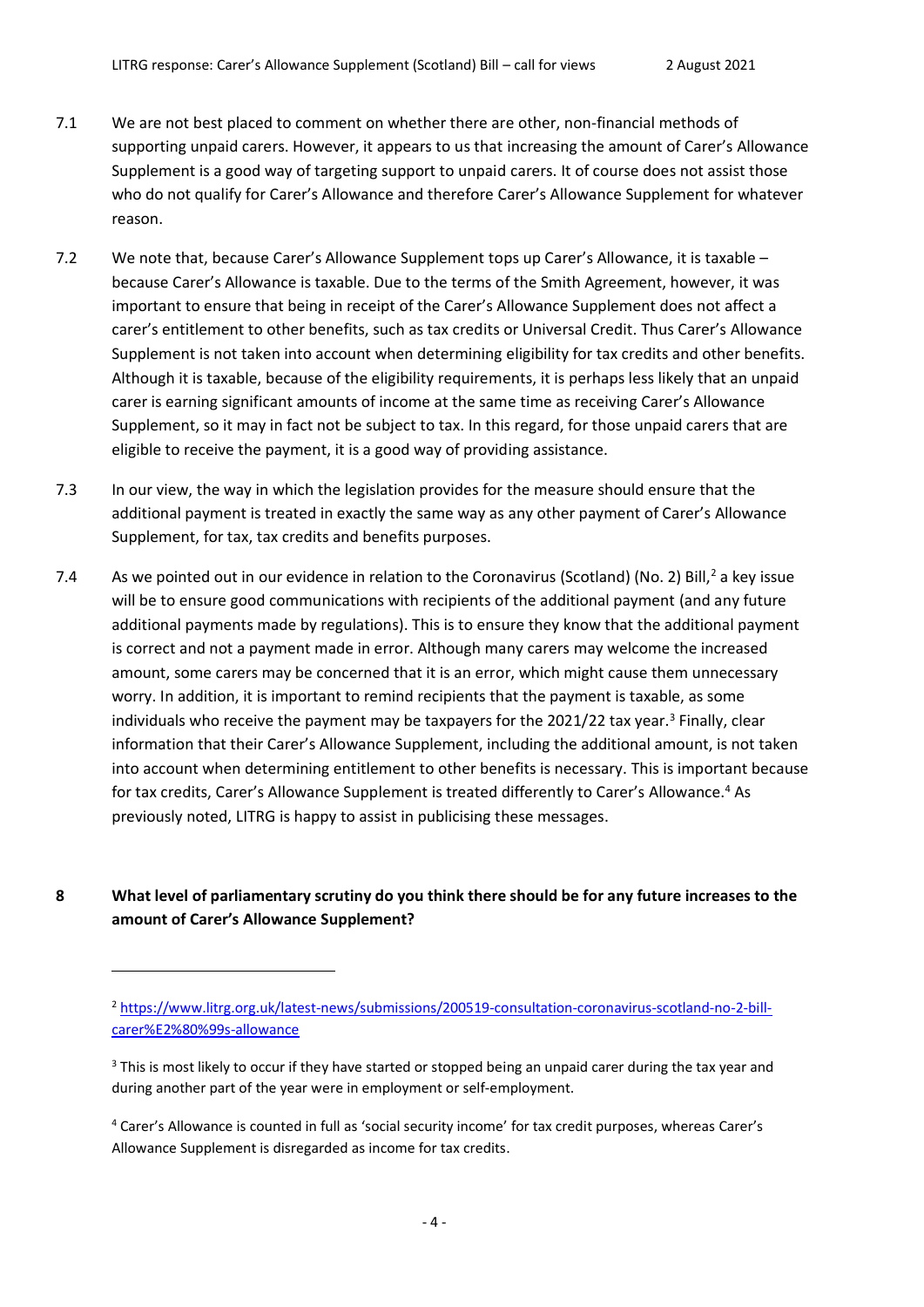- 7.1 We are not best placed to comment on whether there are other, non-financial methods of supporting unpaid carers. However, it appears to us that increasing the amount of Carer's Allowance Supplement is a good way of targeting support to unpaid carers. It of course does not assist those who do not qualify for Carer's Allowance and therefore Carer's Allowance Supplement for whatever reason.
- 7.2 We note that, because Carer's Allowance Supplement tops up Carer's Allowance, it is taxable because Carer's Allowance is taxable. Due to the terms of the Smith Agreement, however, it was important to ensure that being in receipt of the Carer's Allowance Supplement does not affect a carer's entitlement to other benefits, such as tax credits or Universal Credit. Thus Carer's Allowance Supplement is not taken into account when determining eligibility for tax credits and other benefits. Although it is taxable, because of the eligibility requirements, it is perhaps less likely that an unpaid carer is earning significant amounts of income at the same time as receiving Carer's Allowance Supplement, so it may in fact not be subject to tax. In this regard, for those unpaid carers that are eligible to receive the payment, it is a good way of providing assistance.
- 7.3 In our view, the way in which the legislation provides for the measure should ensure that the additional payment is treated in exactly the same way as any other payment of Carer's Allowance Supplement, for tax, tax credits and benefits purposes.
- 7.4 As we pointed out in our evidence in relation to the Coronavirus (Scotland) (No. 2) Bill,<sup>2</sup> a key issue will be to ensure good communications with recipients of the additional payment (and any future additional payments made by regulations). This is to ensure they know that the additional payment is correct and not a payment made in error. Although many carers may welcome the increased amount, some carers may be concerned that it is an error, which might cause them unnecessary worry. In addition, it is important to remind recipients that the payment is taxable, as some individuals who receive the payment may be taxpayers for the 2021/22 tax year.<sup>3</sup> Finally, clear information that their Carer's Allowance Supplement, including the additional amount, is not taken into account when determining entitlement to other benefits is necessary. This is important because for tax credits, Carer's Allowance Supplement is treated differently to Carer's Allowance.<sup>4</sup> As previously noted, LITRG is happy to assist in publicising these messages.
- **8 What level of parliamentary scrutiny do you think there should be for any future increases to the amount of Carer's Allowance Supplement?**

<sup>2</sup> [https://www.litrg.org.uk/latest-news/submissions/200519-consultation-coronavirus-scotland-no-2-bill](https://www.litrg.org.uk/latest-news/submissions/200519-consultation-coronavirus-scotland-no-2-bill-carer%E2%80%99s-allowance)[carer%E2%80%99s-allowance](https://www.litrg.org.uk/latest-news/submissions/200519-consultation-coronavirus-scotland-no-2-bill-carer%E2%80%99s-allowance)

<sup>&</sup>lt;sup>3</sup> This is most likely to occur if they have started or stopped being an unpaid carer during the tax year and during another part of the year were in employment or self-employment.

<sup>4</sup> Carer's Allowance is counted in full as 'social security income' for tax credit purposes, whereas Carer's Allowance Supplement is disregarded as income for tax credits.